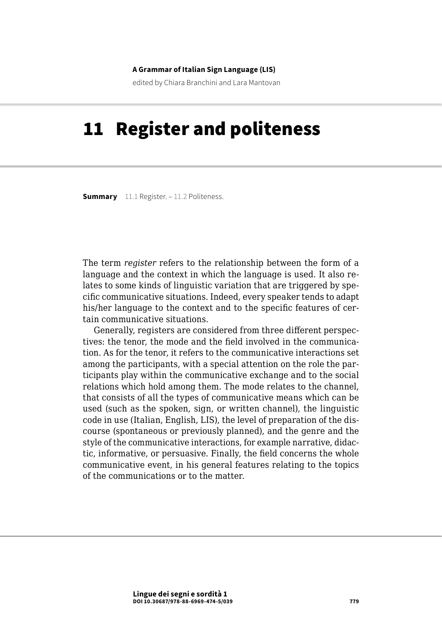#### **A Grammar of Italian Sign Language (LIS)**

edited by Chiara Branchini and Lara Mantovan

# 11 Register and politeness

**Summary** [11.1 Register.](#page-1-0) – [11.2 Politeness](#page-5-0).

The term *register* refers to the relationship between the form of a language and the context in which the language is used. It also relates to some kinds of linguistic variation that are triggered by specific communicative situations. Indeed, every speaker tends to adapt his/her language to the context and to the specific features of certain communicative situations.

Generally, registers are considered from three different perspectives: the tenor, the mode and the field involved in the communication. As for the tenor, it refers to the communicative interactions set among the participants, with a special attention on the role the participants play within the communicative exchange and to the social relations which hold among them. The mode relates to the channel, that consists of all the types of communicative means which can be used (such as the spoken, sign, or written channel), the linguistic code in use (Italian, English, LIS), the level of preparation of the discourse (spontaneous or previously planned), and the genre and the style of the communicative interactions, for example narrative, didactic, informative, or persuasive. Finally, the field concerns the whole communicative event, in his general features relating to the topics of the communications or to the matter.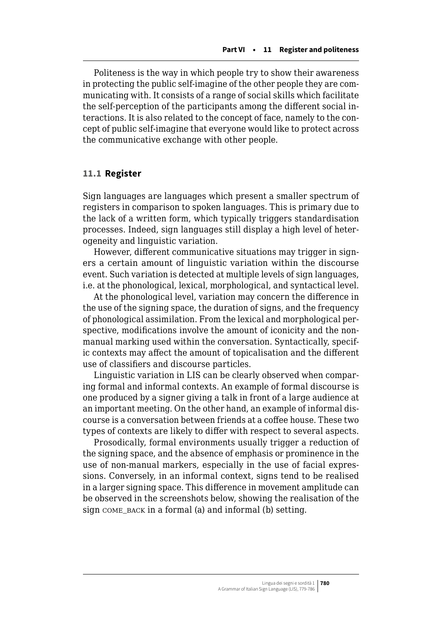<span id="page-1-0"></span>Politeness is the way in which people try to show their awareness in protecting the public self-imagine of the other people they are communicating with. It consists of a range of social skills which facilitate the self-perception of the participants among the different social interactions. It is also related to the concept of face, namely to the concept of public self-imagine that everyone would like to protect across the communicative exchange with other people.

### **11.1 Register**

Sign languages are languages which present a smaller spectrum of registers in comparison to spoken languages. This is primary due to the lack of a written form, which typically triggers standardisation processes. Indeed, sign languages still display a high level of heterogeneity and linguistic variation.

However, different communicative situations may trigger in signers a certain amount of linguistic variation within the discourse event. Such variation is detected at multiple levels of sign languages, i.e. at the phonological, lexical, morphological, and syntactical level.

At the phonological level, variation may concern the difference in the use of the signing space, the duration of signs, and the frequency of phonological assimilation. From the lexical and morphological perspective, modifications involve the amount of iconicity and the nonmanual marking used within the conversation. Syntactically, specific contexts may affect the amount of topicalisation and the different use of classifiers and discourse particles.

Linguistic variation in LIS can be clearly observed when comparing formal and informal contexts. An example of formal discourse is one produced by a signer giving a talk in front of a large audience at an important meeting. On the other hand, an example of informal discourse is a conversation between friends at a coffee house. These two types of contexts are likely to differ with respect to several aspects.

Prosodically, formal environments usually trigger a reduction of the signing space, and the absence of emphasis or prominence in the use of non-manual markers, especially in the use of facial expressions. Conversely, in an informal context, signs tend to be realised in a larger signing space. This difference in movement amplitude can be observed in the screenshots below, showing the realisation of the sign come back in a formal (a) and informal (b) setting.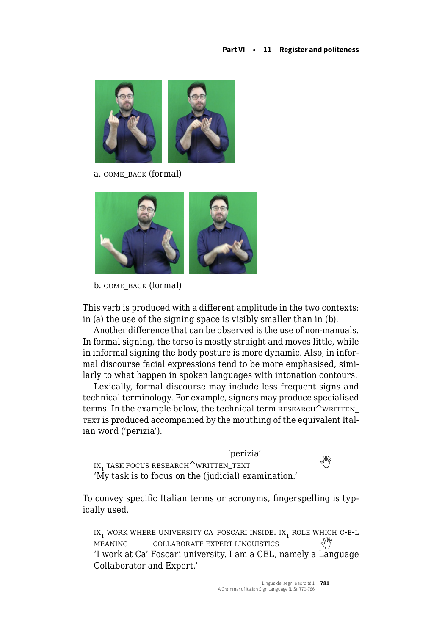

a. COME\_BACK (formal)



b. come\_back (formal)

This verb is produced with a different amplitude in the two contexts: in (a) the use of the signing space is visibly smaller than in (b).

Another difference that can be observed is the use of non-manuals. In formal signing, the torso is mostly straight and moves little, while in informal signing the body posture is more dynamic. Also, in informal discourse facial expressions tend to be more emphasised, similarly to what happen in spoken languages with intonation contours.

Lexically, formal discourse may include less frequent signs and technical terminology. For example, signers may produce specialised terms. In the example below, the technical term RESEARCH^WRITTEN\_ TEXT is produced accompanied by the mouthing of the equivalent Italian word ('perizia').

'perizia' IX<sub>1</sub>TASK FOCUS RESEARCH<sup>^</sup>WRITTEN\_TEXT 'My task is to focus on the (judicial) examination.'

To convey specific Italian terms or acronyms, fingerspelling is typically used.

IX<sub>1</sub> WORK WHERE UNIVERSITY CA\_FOSCARI INSIDE. IX<sub>1</sub> ROLE WHICH C-E-L<br>MEANING COLLABORATE EXPERT LINGUISTICS COLLABORATE EXPERT LINGUISTICS 'I work at Ca' Foscari university. I am a CEL, namely a Language Collaborator and Expert.'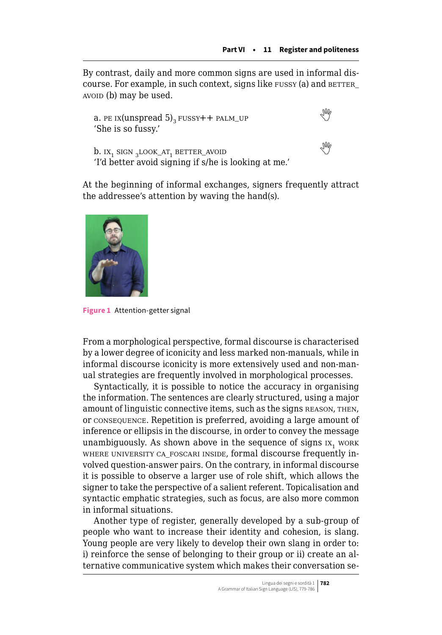By contrast, daily and more common signs are used in informal discourse. For example, in such context, signs like FUSSY (a) and BETTER avoid (b) may be used.

```
 PE IX(unspread 5)<sub>3</sub> FUSSY++ PALM_UP
'She is so fussy.'
```


 $b.$ IX<sub>1</sub> sign  $_2$ look\_at<sub>1</sub> better\_avoid 'I'd better avoid signing if s/he is looking at me.'

At the beginning of informal exchanges, signers frequently attract the addressee's attention by waving the hand(s).



**Figure 1** Attention-getter signal

From a morphological perspective, formal discourse is characterised by a lower degree of iconicity and less marked non-manuals, while in informal discourse iconicity is more extensively used and non-manual strategies are frequently involved in morphological processes.

Syntactically, it is possible to notice the accuracy in organising the information. The sentences are clearly structured, using a major amount of linguistic connective items, such as the signs reason, then, or consequence. Repetition is preferred, avoiding a large amount of inference or ellipsis in the discourse, in order to convey the message unambiguously. As shown above in the sequence of signs  $IX<sub>1</sub>$  work where university ca\_foscari inside, formal discourse frequently involved question-answer pairs. On the contrary, in informal discourse it is possible to observe a larger use of role shift, which allows the signer to take the perspective of a salient referent. Topicalisation and syntactic emphatic strategies, such as focus, are also more common in informal situations.

Another type of register, generally developed by a sub-group of people who want to increase their identity and cohesion, is slang. Young people are very likely to develop their own slang in order to: i) reinforce the sense of belonging to their group or ii) create an alternative communicative system which makes their conversation se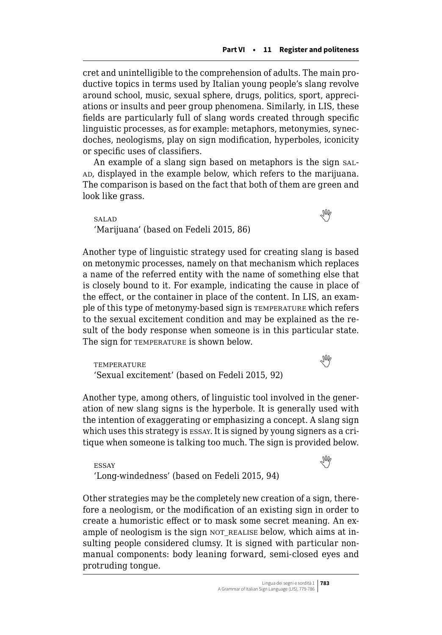cret and unintelligible to the comprehension of adults. The main productive topics in terms used by Italian young people's slang revolve around school, music, sexual sphere, drugs, politics, sport, appreciations or insults and peer group phenomena. Similarly, in LIS, these fields are particularly full of slang words created through specific linguistic processes, as for example: metaphors, metonymies, synecdoches, neologisms, play on sign modification, hyperboles, iconicity or specific uses of classifiers.

An example of a slang sign based on metaphors is the sign sal-AD, displayed in the example below, which refers to the marijuana. The comparison is based on the fact that both of them are green and look like grass.

salad  'Marijuana' (based on Fedeli 2015, 86)

Another type of linguistic strategy used for creating slang is based on metonymic processes, namely on that mechanism which replaces a name of the referred entity with the name of something else that is closely bound to it. For example, indicating the cause in place of the effect, or the container in place of the content. In LIS, an example of this type of metonymy-based sign is temperature which refers to the sexual excitement condition and may be explained as the result of the body response when someone is in this particular state. The sign for **TEMPERATURE** is shown below.

temperaturethat the contract of the contract of the contract of the contract of the contract of the contract of  $\mathbb{W}$ 'Sexual excitement' (based on Fedeli 2015, 92)

Another type, among others, of linguistic tool involved in the generation of new slang signs is the hyperbole. It is generally used with the intention of exaggerating or emphasizing a concept. A slang sign which uses this strategy is essay. It is signed by young signers as a critique when someone is talking too much. The sign is provided below.

essaywhere  $\mathbb{R}^N$ 'Long-windedness' (based on Fedeli 2015, 94)

Other strategies may be the completely new creation of a sign, therefore a neologism, or the modification of an existing sign in order to create a humoristic effect or to mask some secret meaning. An example of neologism is the sign not realise below, which aims at insulting people considered clumsy. It is signed with particular nonmanual components: body leaning forward, semi-closed eyes and protruding tongue.

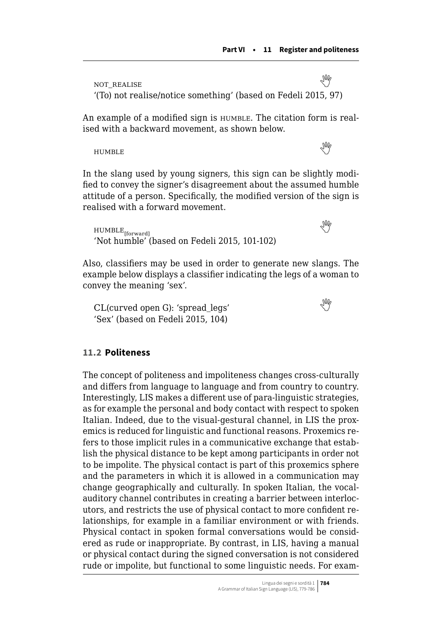<span id="page-5-0"></span>not\_realise  '(To) not realise/notice something' (based on Fedeli 2015, 97)

An example of a modified sign is  $H$ UMBLE. The citation form is realised with a backward movement, as shown below.

HUMBLEWE ARRAIGNED TO A THE CONTROL OF THE CONTROL OF THE CONTROL OF THE CONTROL OF THE CONTROL OF THE CONTROL OF THE CONTROL OF THE CONTROL OF THE CONTROL OF THE CONTROL OF THE CONTROL OF THE CONTROL OF THE CONTROL OF TH

In the slang used by young signers, this sign can be slightly modified to convey the signer's disagreement about the assumed humble attitude of a person. Specifically, the modified version of the sign is realised with a forward movement.

 $\text{HUMBLE}_{\text{ffurward}}$ 'Not humble' (based on Fedeli 2015, 101-102)

Also, classifiers may be used in order to generate new slangs. The example below displays a classifier indicating the legs of a woman to convey the meaning 'sex'.

CL(curved open G): 'spread\_legs'  'Sex' (based on Fedeli 2015, 104)

### **11.2 Politeness**

The concept of politeness and impoliteness changes cross-culturally and differs from language to language and from country to country. Interestingly, LIS makes a different use of para-linguistic strategies, as for example the personal and body contact with respect to spoken Italian. Indeed, due to the visual-gestural channel, in LIS the proxemics is reduced for linguistic and functional reasons. Proxemics refers to those implicit rules in a communicative exchange that establish the physical distance to be kept among participants in order not to be impolite. The physical contact is part of this proxemics sphere and the parameters in which it is allowed in a communication may change geographically and culturally. In spoken Italian, the vocalauditory channel contributes in creating a barrier between interlocutors, and restricts the use of physical contact to more confident relationships, for example in a familiar environment or with friends. Physical contact in spoken formal conversations would be considered as rude or inappropriate. By contrast, in LIS, having a manual or physical contact during the signed conversation is not considered rude or impolite, but functional to some linguistic needs. For exam-

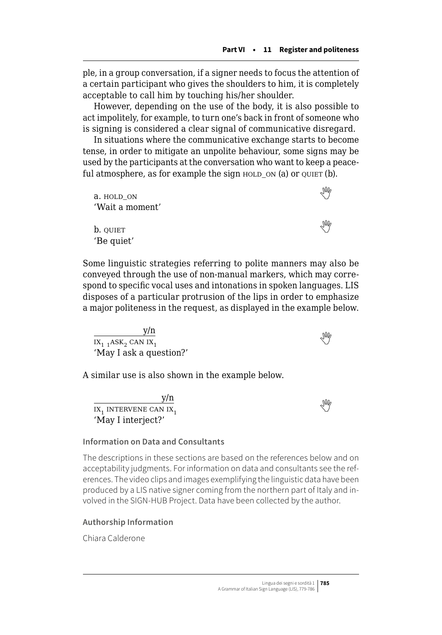ple, in a group conversation, if a signer needs to focus the attention of a certain participant who gives the shoulders to him, it is completely acceptable to call him by touching his/her shoulder.

However, depending on the use of the body, it is also possible to act impolitely, for example, to turn one's back in front of someone who is signing is considered a clear signal of communicative disregard.

In situations where the communicative exchange starts to become tense, in order to mitigate an unpolite behaviour, some signs may be used by the participants at the conversation who want to keep a peaceful atmosphere, as for example the sign  $H$  HOLD ON (a) or QUIET (b).

a. $HOLD\_ON$ 'Wait a moment'  $\mathbf{b}$ .quiet  $\mathbb{W}$ 'Be quiet'

Some linguistic strategies referring to polite manners may also be conveyed through the use of non-manual markers, which may correspond to specific vocal uses and intonations in spoken languages. LIS disposes of a particular protrusion of the lips in order to emphasize a major politeness in the request, as displayed in the example below.

y/n  $\overline{IX_{1,1}$ ASK<sub>2</sub>CAN IX<sub>1</sub> 'May I ask a question?'

A similar use is also shown in the example below.

y/n  $\frac{y}{11}$ intervene can  $11$ <sub>1</sub> 'May I interject?'

#### **Information on Data and Consultants**

The descriptions in these sections are based on the references below and on acceptability judgments. For information on data and consultants see the references. The video clips and images exemplifying the linguistic data have been produced by a LIS native signer coming from the northern part of Italy and involved in the SIGN-HUB Project. Data have been collected by the author.

#### **Authorship Information**

Chiara Calderone